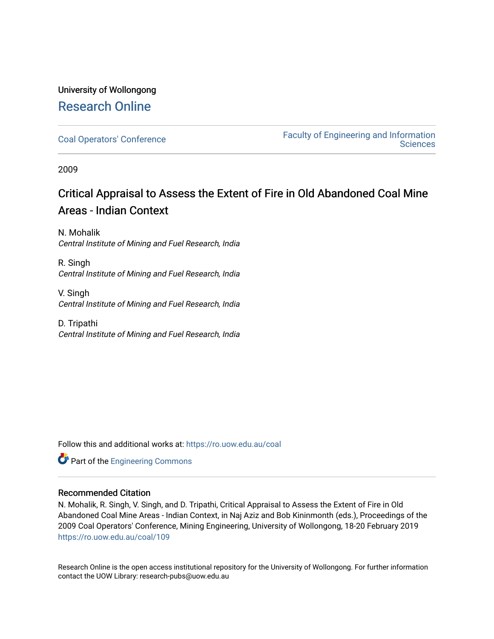### University of Wollongong [Research Online](https://ro.uow.edu.au/)

[Coal Operators' Conference](https://ro.uow.edu.au/coal) [Faculty of Engineering and Information](https://ro.uow.edu.au/eis)  **Sciences** 

2009

# Critical Appraisal to Assess the Extent of Fire in Old Abandoned Coal Mine Areas - Indian Context

N. Mohalik Central Institute of Mining and Fuel Research, India

R. Singh Central Institute of Mining and Fuel Research, India

V. Singh Central Institute of Mining and Fuel Research, India

D. Tripathi Central Institute of Mining and Fuel Research, India

Follow this and additional works at: [https://ro.uow.edu.au/coal](https://ro.uow.edu.au/coal?utm_source=ro.uow.edu.au%2Fcoal%2F109&utm_medium=PDF&utm_campaign=PDFCoverPages) 



#### Recommended Citation

N. Mohalik, R. Singh, V. Singh, and D. Tripathi, Critical Appraisal to Assess the Extent of Fire in Old Abandoned Coal Mine Areas - Indian Context, in Naj Aziz and Bob Kininmonth (eds.), Proceedings of the 2009 Coal Operators' Conference, Mining Engineering, University of Wollongong, 18-20 February 2019 [https://ro.uow.edu.au/coal/109](https://ro.uow.edu.au/coal/109?utm_source=ro.uow.edu.au%2Fcoal%2F109&utm_medium=PDF&utm_campaign=PDFCoverPages) 

Research Online is the open access institutional repository for the University of Wollongong. For further information contact the UOW Library: research-pubs@uow.edu.au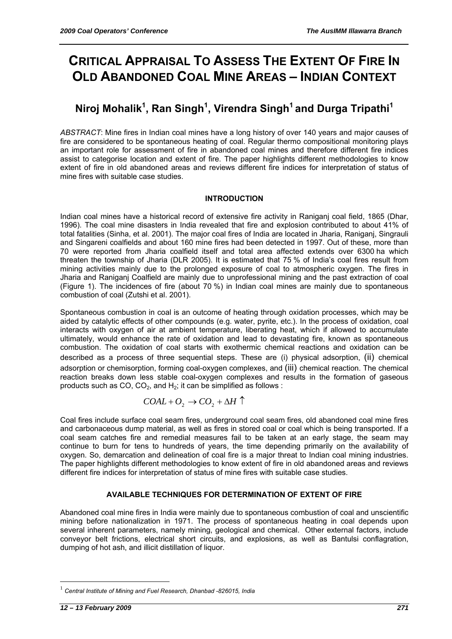# **CRITICAL APPRAISAL TO ASSESS THE EXTENT OF FIRE IN OLD ABANDONED COAL MINE AREAS – INDIAN CONTEXT**

# **Niroj Mohalik<sup>1</sup> , Ran Singh<sup>1</sup> , Virendra Singh1 and Durga Tripathi1**

*ABSTRACT*: Mine fires in Indian coal mines have a long history of over 140 years and major causes of fire are considered to be spontaneous heating of coal. Regular thermo compositional monitoring plays an important role for assessment of fire in abandoned coal mines and therefore different fire indices assist to categorise location and extent of fire. The paper highlights different methodologies to know extent of fire in old abandoned areas and reviews different fire indices for interpretation of status of mine fires with suitable case studies.

#### **INTRODUCTION**

Indian coal mines have a historical record of extensive fire activity in Raniganj coal field, 1865 (Dhar, 1996). The coal mine disasters in India revealed that fire and explosion contributed to about 41% of total fatalities (Sinha, et al. 2001). The major coal fires of India are located in Jharia, Raniganj, Singrauli and Singareni coalfields and about 160 mine fires had been detected in 1997. Out of these, more than 70 were reported from Jharia coalfield itself and total area affected extends over 6300 ha which threaten the township of Jharia (DLR 2005). It is estimated that 75 % of India's coal fires result from mining activities mainly due to the prolonged exposure of coal to atmospheric oxygen. The fires in Jharia and Raniganj Coalfield are mainly due to unprofessional mining and the past extraction of coal (Figure 1). The incidences of fire (about 70 %) in Indian coal mines are mainly due to spontaneous combustion of coal (Zutshi et al. 2001).

Spontaneous combustion in coal is an outcome of heating through oxidation processes, which may be aided by catalytic effects of other compounds (e.g. water, pyrite, etc.). In the process of oxidation, coal interacts with oxygen of air at ambient temperature, liberating heat, which if allowed to accumulate ultimately, would enhance the rate of oxidation and lead to devastating fire, known as spontaneous combustion. The oxidation of coal starts with exothermic chemical reactions and oxidation can be described as a process of three sequential steps. These are (i) physical adsorption, (ii) chemical adsorption or chemisorption, forming coal-oxygen complexes, and (iii) chemical reaction. The chemical reaction breaks down less stable coal-oxygen complexes and results in the formation of gaseous products such as CO,  $CO<sub>2</sub>$ , and H<sub>2</sub>; it can be simplified as follows :

$$
COAL + O_2 \rightarrow CO_2 + \Delta H \uparrow
$$

Coal fires include surface coal seam fires, underground coal seam fires, old abandoned coal mine fires and carbonaceous dump material, as well as fires in stored coal or coal which is being transported. If a coal seam catches fire and remedial measures fail to be taken at an early stage, the seam may continue to burn for tens to hundreds of years, the time depending primarily on the availability of oxygen. So, demarcation and delineation of coal fire is a major threat to Indian coal mining industries. The paper highlights different methodologies to know extent of fire in old abandoned areas and reviews different fire indices for interpretation of status of mine fires with suitable case studies.

#### **AVAILABLE TECHNIQUES FOR DETERMINATION OF EXTENT OF FIRE**

Abandoned coal mine fires in India were mainly due to spontaneous combustion of coal and unscientific mining before nationalization in 1971. The process of spontaneous heating in coal depends upon several inherent parameters, namely mining, geological and chemical. Other external factors, include conveyor belt frictions, electrical short circuits, and explosions, as well as Bantulsi conflagration, dumping of hot ash, and illicit distillation of liquor.

<sup>1</sup> *Central Institute of Mining and Fuel Research, Dhanbad -826015, India*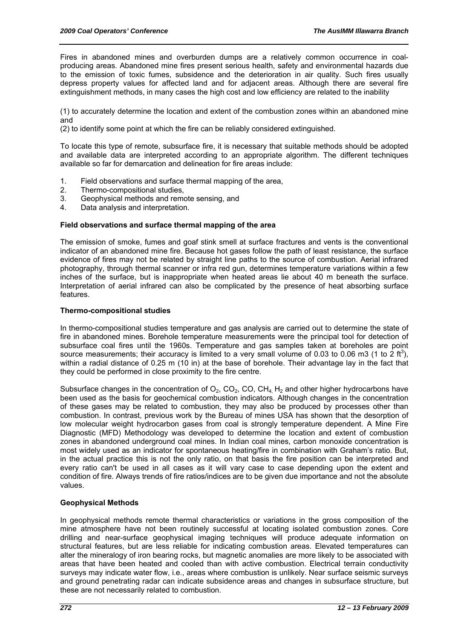Fires in abandoned mines and overburden dumps are a relatively common occurrence in coalproducing areas. Abandoned mine fires present serious health, safety and environmental hazards due to the emission of toxic fumes, subsidence and the deterioration in air quality. Such fires usually depress property values for affected land and for adjacent areas. Although there are several fire extinguishment methods, in many cases the high cost and low efficiency are related to the inability

(1) to accurately determine the location and extent of the combustion zones within an abandoned mine and

(2) to identify some point at which the fire can be reliably considered extinguished.

To locate this type of remote, subsurface fire, it is necessary that suitable methods should be adopted and available data are interpreted according to an appropriate algorithm. The different techniques available so far for demarcation and delineation for fire areas include:

- 1. Field observations and surface thermal mapping of the area,
- 2. Thermo-compositional studies,
- 3. Geophysical methods and remote sensing, and
- 4. Data analysis and interpretation.

#### **Field observations and surface thermal mapping of the area**

The emission of smoke, fumes and goaf stink smell at surface fractures and vents is the conventional indicator of an abandoned mine fire. Because hot gases follow the path of least resistance, the surface evidence of fires may not be related by straight line paths to the source of combustion. Aerial infrared photography, through thermal scanner or infra red gun, determines temperature variations within a few inches of the surface, but is inappropriate when heated areas lie about 40 m beneath the surface. Interpretation of aerial infrared can also be complicated by the presence of heat absorbing surface features.

#### **Thermo-compositional studies**

In thermo-compositional studies temperature and gas analysis are carried out to determine the state of fire in abandoned mines. Borehole temperature measurements were the principal tool for detection of subsurface coal fires until the 1960s. Temperature and gas samples taken at boreholes are point source measurements; their accuracy is limited to a very small volume of 0.03 to 0.06 m3 (1 to 2 ft<sup>3</sup>), within a radial distance of 0.25 m (10 in) at the base of borehole. Their advantage lay in the fact that they could be performed in close proximity to the fire centre.

Subsurface changes in the concentration of  $O_2$ , CO<sub>2</sub>, CO<sub>2</sub>, CO<sub>4</sub> H<sub>2</sub> and other higher hydrocarbons have been used as the basis for geochemical combustion indicators. Although changes in the concentration of these gases may be related to combustion, they may also be produced by processes other than combustion. In contrast, previous work by the Bureau of mines USA has shown that the desorption of low molecular weight hydrocarbon gases from coal is strongly temperature dependent. A Mine Fire Diagnostic (MFD) Methodology was developed to determine the location and extent of combustion zones in abandoned underground coal mines. In Indian coal mines, carbon monoxide concentration is most widely used as an indicator for spontaneous heating/fire in combination with Graham's ratio. But, in the actual practice this is not the only ratio, on that basis the fire position can be interpreted and every ratio can't be used in all cases as it will vary case to case depending upon the extent and condition of fire. Always trends of fire ratios/indices are to be given due importance and not the absolute values.

#### **Geophysical Methods**

In geophysical methods remote thermal characteristics or variations in the gross composition of the mine atmosphere have not been routinely successful at locating isolated combustion zones. Core drilling and near-surface geophysical imaging techniques will produce adequate information on structural features, but are less reliable for indicating combustion areas. Elevated temperatures can alter the mineralogy of iron bearing rocks, but magnetic anomalies are more likely to be associated with areas that have been heated and cooled than with active combustion. Electrical terrain conductivity surveys may indicate water flow, i.e., areas where combustion is unlikely. Near surface seismic surveys and ground penetrating radar can indicate subsidence areas and changes in subsurface structure, but these are not necessarily related to combustion.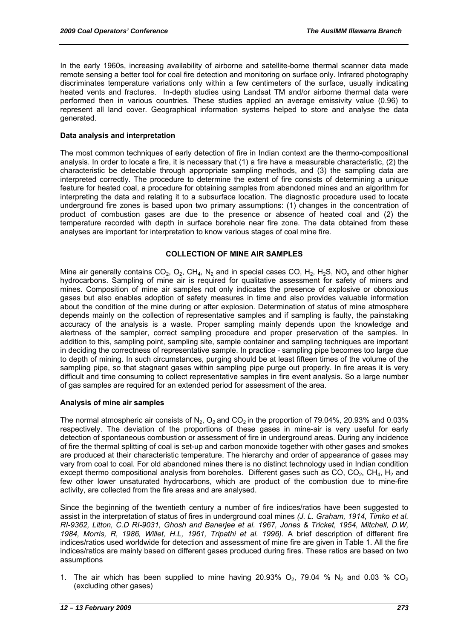In the early 1960s, increasing availability of airborne and satellite-borne thermal scanner data made remote sensing a better tool for coal fire detection and monitoring on surface only. Infrared photography discriminates temperature variations only within a few centimeters of the surface, usually indicating heated vents and fractures. In-depth studies using Landsat TM and/or airborne thermal data were performed then in various countries. These studies applied an average emissivity value (0.96) to represent all land cover. Geographical information systems helped to store and analyse the data generated.

#### **Data analysis and interpretation**

The most common techniques of early detection of fire in Indian context are the thermo-compositional analysis. In order to locate a fire, it is necessary that (1) a fire have a measurable characteristic, (2) the characteristic be detectable through appropriate sampling methods, and (3) the sampling data are interpreted correctly. The procedure to determine the extent of fire consists of determining a unique feature for heated coal, a procedure for obtaining samples from abandoned mines and an algorithm for interpreting the data and relating it to a subsurface location. The diagnostic procedure used to locate underground fire zones is based upon two primary assumptions: (1) changes in the concentration of product of combustion gases are due to the presence or absence of heated coal and (2) the temperature recorded with depth in surface borehole near fire zone. The data obtained from these analyses are important for interpretation to know various stages of coal mine fire.

#### **COLLECTION OF MINE AIR SAMPLES**

Mine air generally contains  $CO_2$ ,  $O_2$ ,  $CH_4$ ,  $N_2$  and in special cases CO,  $H_2$ ,  $H_2S$ , NO<sub>x</sub> and other higher hydrocarbons. Sampling of mine air is required for qualitative assessment for safety of miners and mines. Composition of mine air samples not only indicates the presence of explosive or obnoxious gases but also enables adoption of safety measures in time and also provides valuable information about the condition of the mine during or after explosion. Determination of status of mine atmosphere depends mainly on the collection of representative samples and if sampling is faulty, the painstaking accuracy of the analysis is a waste. Proper sampling mainly depends upon the knowledge and alertness of the sampler, correct sampling procedure and proper preservation of the samples. In addition to this, sampling point, sampling site, sample container and sampling techniques are important in deciding the correctness of representative sample. In practice - sampling pipe becomes too large due to depth of mining. In such circumstances, purging should be at least fifteen times of the volume of the sampling pipe, so that stagnant gases within sampling pipe purge out properly. In fire areas it is very difficult and time consuming to collect representative samples in fire event analysis. So a large number of gas samples are required for an extended period for assessment of the area.

#### **Analysis of mine air samples**

The normal atmospheric air consists of  $N_2$ ,  $O_2$  and  $CO_2$  in the proportion of 79.04%, 20.93% and 0.03% respectively. The deviation of the proportions of these gases in mine-air is very useful for early detection of spontaneous combustion or assessment of fire in underground areas. During any incidence of fire the thermal splitting of coal is set-up and carbon monoxide together with other gases and smokes are produced at their characteristic temperature. The hierarchy and order of appearance of gases may vary from coal to coal. For old abandoned mines there is no distinct technology used in Indian condition except thermo compositional analysis from boreholes. Different gases such as CO, CO<sub>2</sub>, CH<sub>4</sub>, H<sub>2</sub> and few other lower unsaturated hydrocarbons, which are product of the combustion due to mine-fire activity, are collected from the fire areas and are analysed.

Since the beginning of the twentieth century a number of fire indices/ratios have been suggested to assist in the interpretation of status of fires in underground coal mines *(J. L. Graham, 1914, Timko et al. RI-9362, Litton, C.D RI-9031, Ghosh and Banerjee et al. 1967, Jones & Tricket, 1954, Mitchell, D.W, 1984, Morris, R, 1986, Willet, H.L, 1961, Tripathi et al. 1996)*. A brief description of different fire indices/ratios used worldwide for detection and assessment of mine fire are given in Table 1. All the fire indices/ratios are mainly based on different gases produced during fires. These ratios are based on two assumptions

1. The air which has been supplied to mine having  $20.93\%$  O<sub>2</sub>, 79.04 % N<sub>2</sub> and 0.03 % CO<sub>2</sub> (excluding other gases)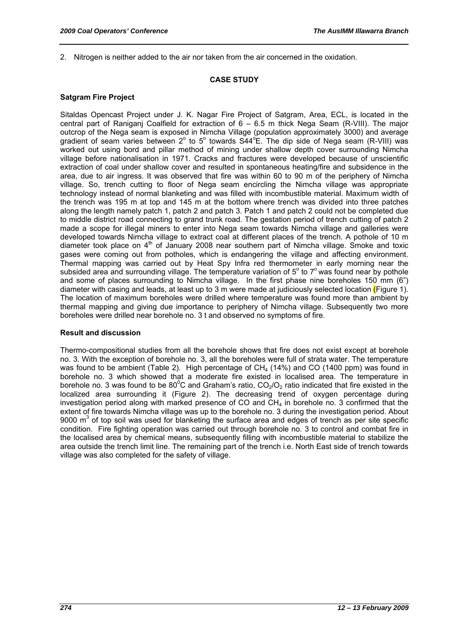2. Nitrogen is neither added to the air nor taken from the air concerned in the oxidation.

#### **CASE STUDY**

#### **Satgram Fire Project**

Sitaldas Opencast Project under J. K. Nagar Fire Project of Satgram, Area, ECL, is located in the central part of Raniganj Coalfield for extraction of 6 – 6.5 m thick Nega Seam (R-VIII). The major outcrop of the Nega seam is exposed in Nimcha Village (population approximately 3000) and average gradient of seam varies between 2° to 5° towards  $S44^{\circ}E$ . The dip side of Nega seam (R-VIII) was worked out using bord and pillar method of mining under shallow depth cover surrounding Nimcha village before nationalisation in 1971. Cracks and fractures were developed because of unscientific extraction of coal under shallow cover and resulted in spontaneous heating/fire and subsidence in the area, due to air ingress. It was observed that fire was within 60 to 90 m of the periphery of Nimcha village. So, trench cutting to floor of Nega seam encircling the Nimcha village was appropriate technology instead of normal blanketing and was filled with incombustible material. Maximum width of the trench was 195 m at top and 145 m at the bottom where trench was divided into three patches along the length namely patch 1, patch 2 and patch 3. Patch 1 and patch 2 could not be completed due to middle district road connecting to grand trunk road. The gestation period of trench cutting of patch 2 made a scope for illegal miners to enter into Nega seam towards Nimcha village and galleries were developed towards Nimcha village to extract coal at different places of the trench. A pothole of 10 m diameter took place on  $4<sup>th</sup>$  of January 2008 near southern part of Nimcha village. Smoke and toxic gases were coming out from potholes, which is endangering the village and affecting environment. Thermal mapping was carried out by Heat Spy Infra red thermometer in early morning near the subsided area and surrounding village. The temperature variation of  $5^{\circ}$  to  $7^{\circ}$  was found near by pothole and some of places surrounding to Nimcha village. In the first phase nine boreholes 150 mm (6") diameter with casing and leads, at least up to 3 m were made at judiciously selected location (Figure 1). The location of maximum boreholes were drilled where temperature was found more than ambient by thermal mapping and giving due importance to periphery of Nimcha village. Subsequently two more boreholes were drilled near borehole no. 3 t and observed no symptoms of fire.

#### **Result and discussion**

Thermo-compositional studies from all the borehole shows that fire does not exist except at borehole no. 3. With the exception of borehole no. 3, all the boreholes were full of strata water. The temperature was found to be ambient (Table 2). High percentage of  $CH<sub>4</sub>$  (14%) and CO (1400 ppm) was found in borehole no. 3 which showed that a moderate fire existed in localised area. The temperature in borehole no. 3 was found to be 80<sup>°</sup>C and Graham's ratio,  $CO_2/O_2$  ratio indicated that fire existed in the localized area surrounding it (Figure 2). The decreasing trend of oxygen percentage during investigation period along with marked presence of CO and  $CH<sub>4</sub>$  in borehole no. 3 confirmed that the extent of fire towards Nimcha village was up to the borehole no. 3 during the investigation period. About 9000  $m<sup>3</sup>$  of top soil was used for blanketing the surface area and edges of trench as per site specific condition. Fire fighting operation was carried out through borehole no. 3 to control and combat fire in the localised area by chemical means, subsequently filling with incombustible material to stabilize the area outside the trench limit line. The remaining part of the trench i.e. North East side of trench towards village was also completed for the safety of village.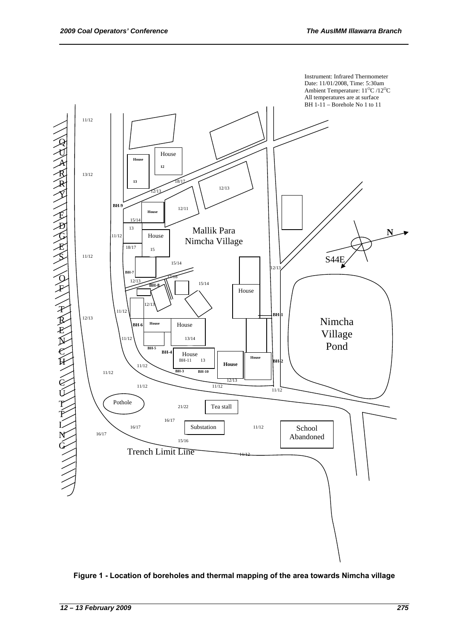

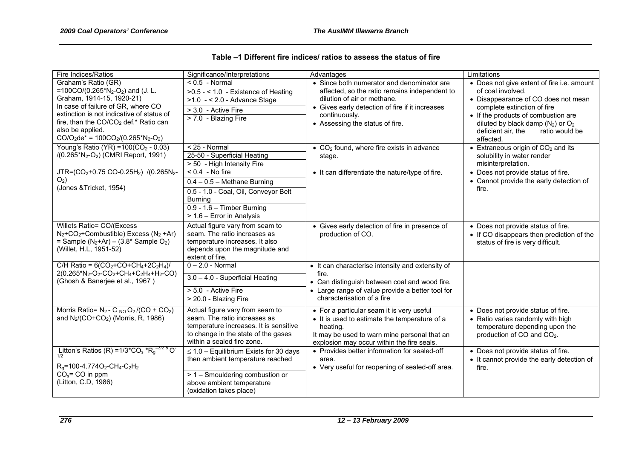|  | Table –1 Different fire indices/ ratios to assess the status of fire |  |  |
|--|----------------------------------------------------------------------|--|--|
|--|----------------------------------------------------------------------|--|--|

| Fire Indices/Ratios                                                                                                                                                                                                                                                                                                                             | Significance/Interpretations                                                                                                                                                   | Advantages                                                                                                                                                                                                                        | Limitations                                                                                                                                                                                                                                                                 |
|-------------------------------------------------------------------------------------------------------------------------------------------------------------------------------------------------------------------------------------------------------------------------------------------------------------------------------------------------|--------------------------------------------------------------------------------------------------------------------------------------------------------------------------------|-----------------------------------------------------------------------------------------------------------------------------------------------------------------------------------------------------------------------------------|-----------------------------------------------------------------------------------------------------------------------------------------------------------------------------------------------------------------------------------------------------------------------------|
| Graham's Ratio (GR)<br>=100CO/(0.265*N <sub>2</sub> -O <sub>2</sub> ) and (J. L.<br>Graham, 1914-15, 1920-21)<br>In case of failure of GR, where CO<br>extinction is not indicative of status of<br>fire, than the CO/CO <sub>2</sub> def.* Ratio can<br>also be applied.<br>$CO/O_2$ de* = 100 $CO_2$ /(0.265*N <sub>2</sub> -O <sub>2</sub> ) | $< 0.5$ - Normal<br>$\overline{>0.5 - 1.0}$ - Existence of Heating<br>$>1.0$ - < 2.0 - Advance Stage<br>> 3.0 - Active Fire<br>$\overline{>7.0}$ - Blazing Fire                | • Since both numerator and denominator are<br>affected, so the ratio remains independent to<br>dilution of air or methane.<br>• Gives early detection of fire if it increases<br>continuously.<br>• Assessing the status of fire. | • Does not give extent of fire i.e. amount<br>of coal involved.<br>• Disappearance of CO does not mean<br>complete extinction of fire<br>• If the products of combustion are<br>diluted by black damp $(N_2)$ or $O_2$<br>ratio would be<br>deficient air, the<br>affected. |
| Young's Ratio (YR) = $100(CO2 - 0.03)$<br>/(0.265*N <sub>2</sub> -O <sub>2</sub> ) (CMRI Report, 1991)                                                                                                                                                                                                                                          | $< 25 - Normal$<br>25-50 - Superficial Heating<br>> 50 - High Intensity Fire                                                                                                   | $\bullet$ CO <sub>2</sub> found, where fire exists in advance<br>stage.                                                                                                                                                           | $\bullet$ Extraneous origin of CO <sub>2</sub> and its<br>solubility in water render<br>misinterpretation.                                                                                                                                                                  |
| JTR=(CO <sub>2</sub> +0.75 CO-0.25H <sub>2</sub> ) $\sqrt{(0.265N_{2}-1)}$<br>$O2$ )<br>(Jones & Tricket, 1954)                                                                                                                                                                                                                                 | $\sqrt{6.4 - No}$ fire<br>$0.4 - 0.5$ – Methane Burning<br>0.5 - 1.0 - Coal, Oil, Conveyor Belt<br><b>Burning</b><br>$0.9 - 1.6 -$ Timber Burning<br>> 1.6 - Error in Analysis | • It can differentiate the nature/type of fire.                                                                                                                                                                                   | • Does not provide status of fire.<br>• Cannot provide the early detection of<br>fire.                                                                                                                                                                                      |
| Willets Ratio= CO/(Excess<br>$N_2$ +CO <sub>2</sub> +Combustible) Excess ( $N_2$ +Ar)<br>= Sample $(N_2+Ar) - (3.8*$ Sample O <sub>2</sub> )<br>(Willet, H.L, 1951-52)                                                                                                                                                                          | Actual figure vary from seam to<br>seam. The ratio increases as<br>temperature increases. It also<br>depends upon the magnitude and<br>extent of fire.                         | • Gives early detection of fire in presence of<br>production of CO.                                                                                                                                                               | • Does not provide status of fire.<br>• If CO disappears then prediction of the<br>status of fire is very difficult.                                                                                                                                                        |
| C/H Ratio = $6(CO_2 + CO + CH_4 + 2C_2H_4)$ /<br>$2(0.265*N_2-O_2-CO_2+CH_4+C_2H_4+H_2-CO)$<br>(Ghosh & Banerjee et al., 1967)                                                                                                                                                                                                                  | $0 - 2.0$ - Normal<br>3.0 - 4.0 - Superficial Heating<br>> 5.0 - Active Fire<br>> 20.0 - Blazing Fire                                                                          | • It can characterise intensity and extensity of<br>fire.<br>• Can distinguish between coal and wood fire.<br>• Large range of value provide a better tool for<br>characterisation of a fire                                      |                                                                                                                                                                                                                                                                             |
| Morris Ratio= $N_2$ - C <sub>NO</sub> O <sub>2</sub> /(CO + CO <sub>2</sub> )<br>and N <sub>2</sub> /(CO+CO <sub>2</sub> ) (Morris, R, 1986)                                                                                                                                                                                                    | Actual figure vary from seam to<br>seam. The ratio increases as<br>temperature increases. It is sensitive<br>to change in the state of the gases<br>within a sealed fire zone. | • For a particular seam it is very useful<br>• It is used to estimate the temperature of a<br>heating.<br>It may be used to warn mine personal that an<br>explosion may occur within the fire seals.                              | • Does not provide status of fire.<br>• Ratio varies randomly with high<br>temperature depending upon the<br>production of CO and CO <sub>2</sub> .                                                                                                                         |
| Litton's Ratios (R) = $1/3$ <sup>*</sup> CO <sub>s</sub> $*R_g$ <sup>-3/28</sup> O <sup>-1</sup><br>$R_q$ =100-4.774O <sub>2</sub> -CH <sub>4</sub> -C <sub>2</sub> H <sub>2</sub><br>$COs= CO$ in ppm<br>(Litton, C.D, 1986)                                                                                                                   | $\leq$ 1.0 – Equilibrium Exists for 30 days<br>then ambient temperature reached<br>> 1 - Smouldering combustion or<br>above ambient temperature<br>(oxidation takes place)     | • Provides better information for sealed-off<br>area.<br>• Very useful for reopening of sealed-off area.                                                                                                                          | • Does not provide status of fire.<br>• It cannot provide the early detection of<br>fire.                                                                                                                                                                                   |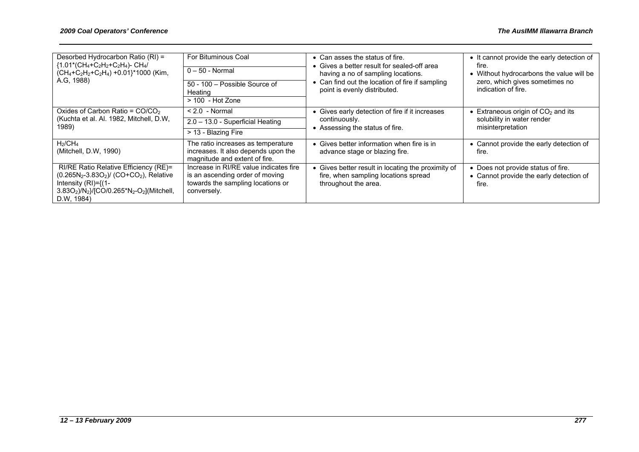| Desorbed Hydrocarbon Ratio (RI) =<br>${1.01*(CH_4+C_2H_2+C_2H_4)}$ - CH <sub>4</sub> /<br>$(CH_4+C_2H_2+C_2H_4) +0.01$ <sup>*</sup> 1000 (Kim,<br>A.G. 1988)                                                              | For Bituminous Coal<br>$0 - 50$ - Normal<br>50 - 100 - Possible Source of<br>Heating                                          | • Can asses the status of fire.<br>Gives a better result for sealed-off area<br>having a no of sampling locations.<br>• Can find out the location of fire if sampling<br>point is evenly distributed. | • It cannot provide the early detection of<br>fire.<br>• Without hydrocarbons the value will be<br>zero, which gives sometimes no<br>indication of fire. |  |  |
|---------------------------------------------------------------------------------------------------------------------------------------------------------------------------------------------------------------------------|-------------------------------------------------------------------------------------------------------------------------------|-------------------------------------------------------------------------------------------------------------------------------------------------------------------------------------------------------|----------------------------------------------------------------------------------------------------------------------------------------------------------|--|--|
|                                                                                                                                                                                                                           | $> 100$ - Hot Zone                                                                                                            |                                                                                                                                                                                                       |                                                                                                                                                          |  |  |
| Oxides of Carbon Ratio = $CO/CO2$<br>(Kuchta et al. Al. 1982, Mitchell, D.W,<br>1989)                                                                                                                                     | $< 2.0$ - Normal                                                                                                              | • Gives early detection of fire if it increases                                                                                                                                                       | $\bullet$ Extraneous origin of CO <sub>2</sub> and its<br>solubility in water render                                                                     |  |  |
|                                                                                                                                                                                                                           | 2.0 - 13.0 - Superficial Heating                                                                                              | continuously.                                                                                                                                                                                         |                                                                                                                                                          |  |  |
|                                                                                                                                                                                                                           | > 13 - Blazing Fire                                                                                                           | • Assessing the status of fire.                                                                                                                                                                       | misinterpretation                                                                                                                                        |  |  |
| $H_2$ /C $H_4$<br>(Mitchell, D.W, 1990)                                                                                                                                                                                   | The ratio increases as temperature<br>increases. It also depends upon the<br>magnitude and extent of fire.                    | • Gives better information when fire is in<br>advance stage or blazing fire.                                                                                                                          | • Cannot provide the early detection of<br>fire.                                                                                                         |  |  |
| RI/RE Ratio Relative Efficiency (RE)=<br>$(0.265N2-3.83O2)$ / (CO+CO <sub>2</sub> ), Relative<br>Intensity $(RI)={(1-$<br>$3.83O_2$ )/N <sub>2</sub> }/[CO/0.265*N <sub>2</sub> -O <sub>2</sub> ](Mitchell,<br>D.W. 1984) | Increase in RI/RE value indicates fire<br>is an ascending order of moving<br>towards the sampling locations or<br>conversely. | Gives better result in locating the proximity of<br>fire, when sampling locations spread<br>throughout the area.                                                                                      | • Does not provide status of fire.<br>• Cannot provide the early detection of<br>fire.                                                                   |  |  |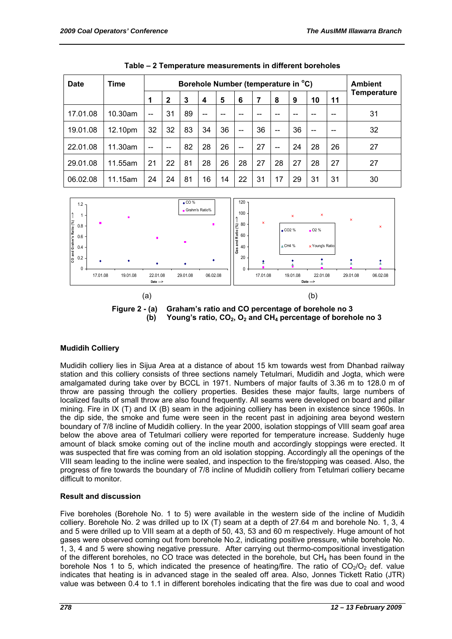| <b>Date</b> | <b>Time</b> |                          | Borehole Number (temperature in °C) |    |     |    |     |    | <b>Ambient</b> |    |     |    |             |
|-------------|-------------|--------------------------|-------------------------------------|----|-----|----|-----|----|----------------|----|-----|----|-------------|
|             |             | 1                        | $\mathbf{2}$                        | 3  | 4   | 5  | 6   | 7  | 8              | 9  | 10  | 11 | Temperature |
| 17.01.08    | 10.30am     | $\overline{\phantom{m}}$ | 31                                  | 89 | $-$ |    |     |    |                |    |     |    | 31          |
| 19.01.08    | 12.10pm     | 32                       | 32                                  | 83 | 34  | 36 | $-$ | 36 | $- -$          | 36 | $-$ |    | 32          |
| 22.01.08    | 11.30am     | $-$                      | --                                  | 82 | 28  | 26 | $-$ | 27 | $-$            | 24 | 28  | 26 | 27          |
| 29.01.08    | 11.55am     | 21                       | 22                                  | 81 | 28  | 26 | 28  | 27 | 28             | 27 | 28  | 27 | 27          |
| 06.02.08    | 11.15am     | 24                       | 24                                  | 81 | 16  | 14 | 22  | 31 | 17             | 29 | 31  | 31 | 30          |

|  |  | Table – 2 Temperature measurements in different boreholes |  |  |
|--|--|-----------------------------------------------------------|--|--|
|--|--|-----------------------------------------------------------|--|--|



**Figure 2 - (a) Graham's ratio and CO percentage of borehole no 3**  (b) Young's ratio, CO<sub>2</sub>, O<sub>2</sub> and CH<sub>4</sub> percentage of borehole no 3

#### **Mudidih Colliery**

Mudidih colliery lies in Sijua Area at a distance of about 15 km towards west from Dhanbad railway station and this colliery consists of three sections namely Tetulmari, Mudidih and Jogta, which were amalgamated during take over by BCCL in 1971. Numbers of major faults of 3.36 m to 128.0 m of throw are passing through the colliery properties. Besides these major faults, large numbers of localized faults of small throw are also found frequently. All seams were developed on board and pillar mining. Fire in IX (T) and IX (B) seam in the adjoining colliery has been in existence since 1960s. In the dip side, the smoke and fume were seen in the recent past in adjoining area beyond western boundary of 7/8 incline of Mudidih colliery. In the year 2000, isolation stoppings of VIII seam goaf area below the above area of Tetulmari colliery were reported for temperature increase. Suddenly huge amount of black smoke coming out of the incline mouth and accordingly stoppings were erected. It was suspected that fire was coming from an old isolation stopping. Accordingly all the openings of the VIII seam leading to the incline were sealed, and inspection to the fire/stopping was ceased. Also, the progress of fire towards the boundary of 7/8 incline of Mudidih colliery from Tetulmari colliery became difficult to monitor.

#### **Result and discussion**

Five boreholes (Borehole No. 1 to 5) were available in the western side of the incline of Mudidih colliery. Borehole No. 2 was drilled up to IX (T) seam at a depth of 27.64 m and borehole No. 1, 3, 4 and 5 were drilled up to VIII seam at a depth of 50, 43, 53 and 60 m respectively. Huge amount of hot gases were observed coming out from borehole No.2, indicating positive pressure, while borehole No. 1, 3, 4 and 5 were showing negative pressure. After carrying out thermo-compositional investigation of the different boreholes, no CO trace was detected in the borehole, but  $CH<sub>4</sub>$  has been found in the borehole Nos 1 to 5, which indicated the presence of heating/fire. The ratio of  $CO<sub>2</sub>/O<sub>2</sub>$  def. value indicates that heating is in advanced stage in the sealed off area. Also, Jonnes Tickett Ratio (JTR) value was between 0.4 to 1.1 in different boreholes indicating that the fire was due to coal and wood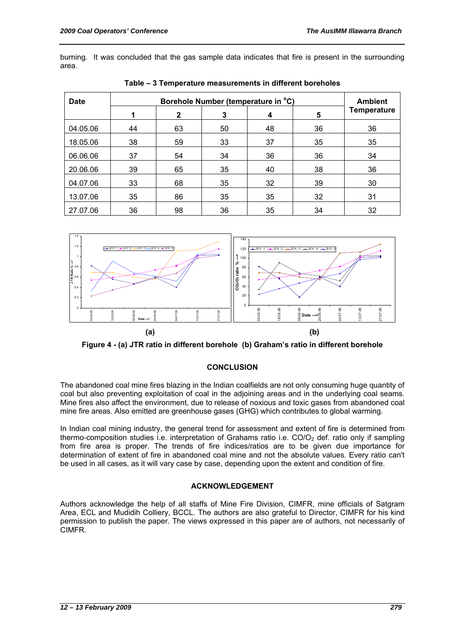burning. It was concluded that the gas sample data indicates that fire is present in the surrounding area.

| <b>Date</b> |    | <b>Ambient</b> |    |    |    |                    |
|-------------|----|----------------|----|----|----|--------------------|
|             |    | $\mathbf{2}$   | 3  | 4  | 5  | <b>Temperature</b> |
| 04.05.06    | 44 | 63             | 50 | 48 | 36 | 36                 |
| 18.05.06    | 38 | 59             | 33 | 37 | 35 | 35                 |
| 06.06.06    | 37 | 54             | 34 | 36 | 36 | 34                 |
| 20.06.06    | 39 | 65             | 35 | 40 | 38 | 36                 |
| 04.07.06    | 33 | 68             | 35 | 32 | 39 | 30                 |
| 13.07.06    | 35 | 86             | 35 | 35 | 32 | 31                 |
| 27.07.06    | 36 | 98             | 36 | 35 | 34 | 32                 |

**Table – 3 Temperature measurements in different boreholes** 



**Figure 4 - (a) JTR ratio in different borehole (b) Graham's ratio in different borehole** 

#### **CONCLUSION**

The abandoned coal mine fires blazing in the Indian coalfields are not only consuming huge quantity of coal but also preventing exploitation of coal in the adjoining areas and in the underlying coal seams. Mine fires also affect the environment, due to release of noxious and toxic gases from abandoned coal mine fire areas. Also emitted are greenhouse gases (GHG) which contributes to global warming.

In Indian coal mining industry, the general trend for assessment and extent of fire is determined from thermo-composition studies i.e. interpretation of Grahams ratio i.e.  $CO/O<sub>2</sub>$  def. ratio only if sampling from fire area is proper. The trends of fire indices/ratios are to be given due importance for determination of extent of fire in abandoned coal mine and not the absolute values. Every ratio can't be used in all cases, as it will vary case by case, depending upon the extent and condition of fire.

#### **ACKNOWLEDGEMENT**

Authors acknowledge the help of all staffs of Mine Fire Division, CIMFR, mine officials of Satgram Area, ECL and Mudidih Colliery, BCCL. The authors are also grateful to Director, CIMFR for his kind permission to publish the paper. The views expressed in this paper are of authors, not necessarily of CIMFR.